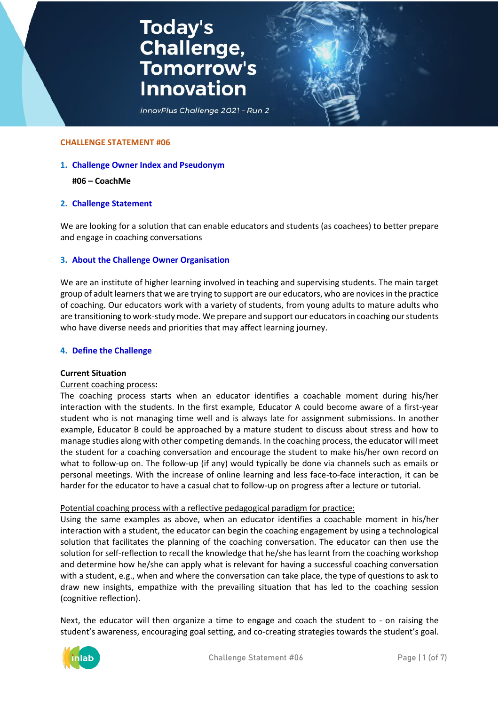# **Today's<br>Challenge,<br>Tomorrow's Innovation**



#### **CHALLENGE STATEMENT #06**

### **1. Challenge Owner Index and Pseudonym**

#### **#06 – CoachMe**

#### **2. Challenge Statement**

We are looking for a solution that can enable educators and students (as coachees) to better prepare and engage in coaching conversations

#### **3. About the Challenge Owner Organisation**

We are an institute of higher learning involved in teaching and supervising students. The main target group of adult learners that we are trying to support are our educators, who are novices in the practice of coaching. Our educators work with a variety of students, from young adults to mature adults who are transitioning to work-study mode. We prepare and support our educators in coaching our students who have diverse needs and priorities that may affect learning journey.

#### **4. Define the Challenge**

#### **Current Situation**

#### Current coaching process**:**

The coaching process starts when an educator identifies a coachable moment during his/her interaction with the students. In the first example, Educator A could become aware of a first-year student who is not managing time well and is always late for assignment submissions. In another example, Educator B could be approached by a mature student to discuss about stress and how to manage studies along with other competing demands. In the coaching process, the educator will meet the student for a coaching conversation and encourage the student to make his/her own record on what to follow-up on. The follow-up (if any) would typically be done via channels such as emails or personal meetings. With the increase of online learning and less face-to-face interaction, it can be harder for the educator to have a casual chat to follow-up on progress after a lecture or tutorial.

#### Potential coaching process with a reflective pedagogical paradigm for practice:

Using the same examples as above, when an educator identifies a coachable moment in his/her interaction with a student, the educator can begin the coaching engagement by using a technological solution that facilitates the planning of the coaching conversation. The educator can then use the solution for self-reflection to recall the knowledge that he/she has learnt from the coaching workshop and determine how he/she can apply what is relevant for having a successful coaching conversation with a student, e.g., when and where the conversation can take place, the type of questions to ask to draw new insights, empathize with the prevailing situation that has led to the coaching session (cognitive reflection).

Next, the educator will then organize a time to engage and coach the student to - on raising the student's awareness, encouraging goal setting, and co-creating strategies towards the student's goal.

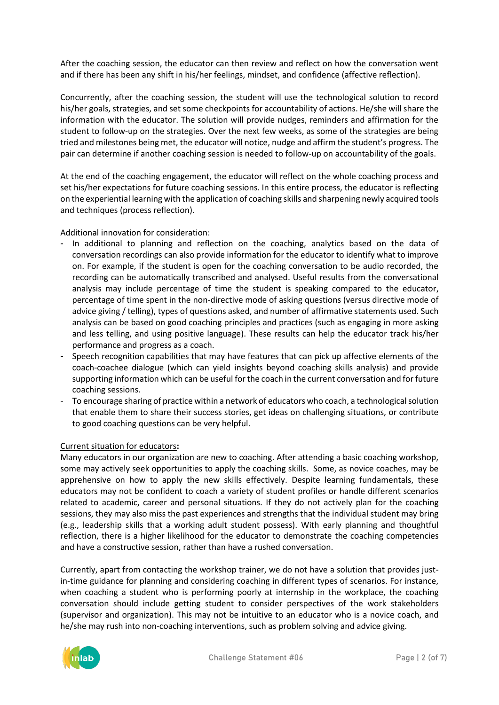After the coaching session, the educator can then review and reflect on how the conversation went and if there has been any shift in his/her feelings, mindset, and confidence (affective reflection).

Concurrently, after the coaching session, the student will use the technological solution to record his/her goals, strategies, and set some checkpoints for accountability of actions. He/she will share the information with the educator. The solution will provide nudges, reminders and affirmation for the student to follow-up on the strategies. Over the next few weeks, as some of the strategies are being tried and milestones being met, the educator will notice, nudge and affirm the student's progress. The pair can determine if another coaching session is needed to follow-up on accountability of the goals.

At the end of the coaching engagement, the educator will reflect on the whole coaching process and set his/her expectations for future coaching sessions. In this entire process, the educator is reflecting on the experiential learning with the application of coaching skills and sharpening newly acquired tools and techniques (process reflection).

Additional innovation for consideration:

- In additional to planning and reflection on the coaching, analytics based on the data of conversation recordings can also provide information for the educator to identify what to improve on. For example, if the student is open for the coaching conversation to be audio recorded, the recording can be automatically transcribed and analysed. Useful results from the conversational analysis may include percentage of time the student is speaking compared to the educator, percentage of time spent in the non-directive mode of asking questions (versus directive mode of advice giving / telling), types of questions asked, and number of affirmative statements used. Such analysis can be based on good coaching principles and practices (such as engaging in more asking and less telling, and using positive language). These results can help the educator track his/her performance and progress as a coach.
- Speech recognition capabilities that may have features that can pick up affective elements of the coach-coachee dialogue (which can yield insights beyond coaching skills analysis) and provide supporting information which can be useful for the coach in the current conversation and for future coaching sessions.
- To encourage sharing of practice within a network of educators who coach, a technological solution that enable them to share their success stories, get ideas on challenging situations, or contribute to good coaching questions can be very helpful.

# Current situation for educators**:**

Many educators in our organization are new to coaching. After attending a basic coaching workshop, some may actively seek opportunities to apply the coaching skills. Some, as novice coaches, may be apprehensive on how to apply the new skills effectively. Despite learning fundamentals, these educators may not be confident to coach a variety of student profiles or handle different scenarios related to academic, career and personal situations. If they do not actively plan for the coaching sessions, they may also miss the past experiences and strengths that the individual student may bring (e.g., leadership skills that a working adult student possess). With early planning and thoughtful reflection, there is a higher likelihood for the educator to demonstrate the coaching competencies and have a constructive session, rather than have a rushed conversation.

Currently, apart from contacting the workshop trainer, we do not have a solution that provides justin-time guidance for planning and considering coaching in different types of scenarios. For instance, when coaching a student who is performing poorly at internship in the workplace, the coaching conversation should include getting student to consider perspectives of the work stakeholders (supervisor and organization). This may not be intuitive to an educator who is a novice coach, and he/she may rush into non-coaching interventions, such as problem solving and advice giving.

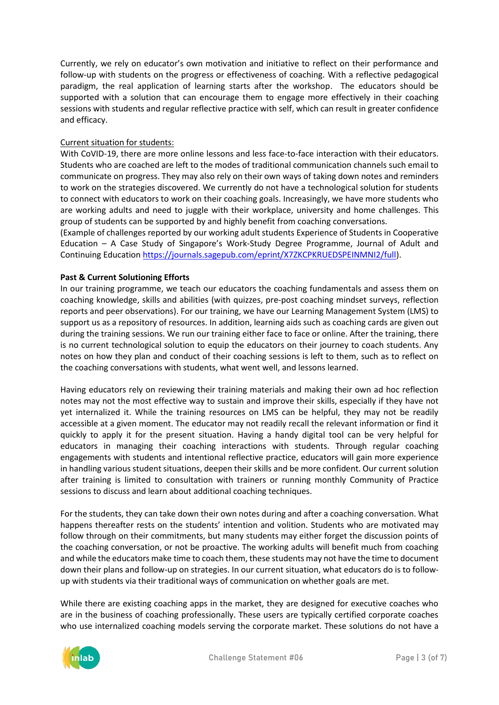Currently, we rely on educator's own motivation and initiative to reflect on their performance and follow-up with students on the progress or effectiveness of coaching. With a reflective pedagogical paradigm, the real application of learning starts after the workshop. The educators should be supported with a solution that can encourage them to engage more effectively in their coaching sessions with students and regular reflective practice with self, which can result in greater confidence and efficacy.

# Current situation for students:

With CoVID-19, there are more online lessons and less face-to-face interaction with their educators. Students who are coached are left to the modes of traditional communication channels such email to communicate on progress. They may also rely on their own ways of taking down notes and reminders to work on the strategies discovered. We currently do not have a technological solution for students to connect with educators to work on their coaching goals. Increasingly, we have more students who are working adults and need to juggle with their workplace, university and home challenges. This group of students can be supported by and highly benefit from coaching conversations.

(Example of challenges reported by our working adult students Experience of Students in Cooperative Education – A Case Study of Singapore's Work-Study Degree Programme, Journal of Adult and Continuing Education [https://journals.sagepub.com/eprint/X7ZKCPKRUEDSPEINMNI2/full\)](https://journals.sagepub.com/eprint/X7ZKCPKRUEDSPEINMNI2/full).

# **Past & Current Solutioning Efforts**

In our training programme, we teach our educators the coaching fundamentals and assess them on coaching knowledge, skills and abilities (with quizzes, pre-post coaching mindset surveys, reflection reports and peer observations). For our training, we have our Learning Management System (LMS) to support us as a repository of resources. In addition, learning aids such as coaching cards are given out during the training sessions. We run our training either face to face or online. After the training, there is no current technological solution to equip the educators on their journey to coach students. Any notes on how they plan and conduct of their coaching sessions is left to them, such as to reflect on the coaching conversations with students, what went well, and lessons learned.

Having educators rely on reviewing their training materials and making their own ad hoc reflection notes may not the most effective way to sustain and improve their skills, especially if they have not yet internalized it. While the training resources on LMS can be helpful, they may not be readily accessible at a given moment. The educator may not readily recall the relevant information or find it quickly to apply it for the present situation. Having a handy digital tool can be very helpful for educators in managing their coaching interactions with students. Through regular coaching engagements with students and intentional reflective practice, educators will gain more experience in handling various student situations, deepen their skills and be more confident. Our current solution after training is limited to consultation with trainers or running monthly Community of Practice sessions to discuss and learn about additional coaching techniques.

For the students, they can take down their own notes during and after a coaching conversation. What happens thereafter rests on the students' intention and volition. Students who are motivated may follow through on their commitments, but many students may either forget the discussion points of the coaching conversation, or not be proactive. The working adults will benefit much from coaching and while the educators make time to coach them, these students may not have the time to document down their plans and follow-up on strategies. In our current situation, what educators do is to followup with students via their traditional ways of communication on whether goals are met.

While there are existing coaching apps in the market, they are designed for executive coaches who are in the business of coaching professionally. These users are typically certified corporate coaches who use internalized coaching models serving the corporate market. These solutions do not have a

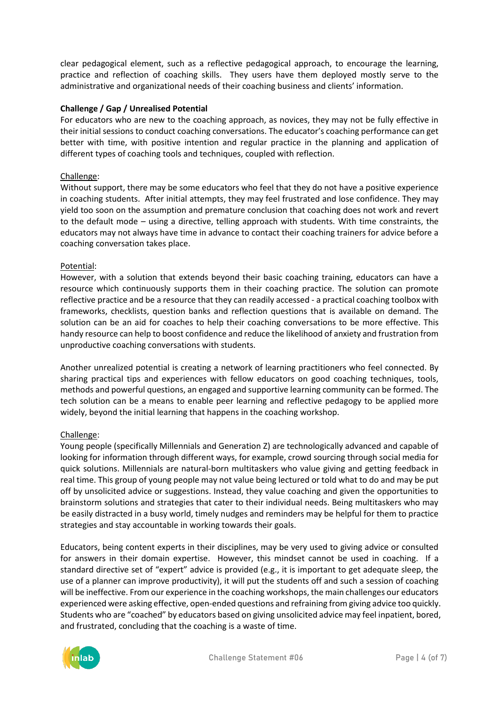clear pedagogical element, such as a reflective pedagogical approach, to encourage the learning, practice and reflection of coaching skills. They users have them deployed mostly serve to the administrative and organizational needs of their coaching business and clients' information.

# **Challenge / Gap / Unrealised Potential**

For educators who are new to the coaching approach, as novices, they may not be fully effective in their initial sessions to conduct coaching conversations. The educator's coaching performance can get better with time, with positive intention and regular practice in the planning and application of different types of coaching tools and techniques, coupled with reflection.

## Challenge:

Without support, there may be some educators who feel that they do not have a positive experience in coaching students. After initial attempts, they may feel frustrated and lose confidence. They may yield too soon on the assumption and premature conclusion that coaching does not work and revert to the default mode – using a directive, telling approach with students. With time constraints, the educators may not always have time in advance to contact their coaching trainers for advice before a coaching conversation takes place.

# Potential:

However, with a solution that extends beyond their basic coaching training, educators can have a resource which continuously supports them in their coaching practice. The solution can promote reflective practice and be a resource that they can readily accessed - a practical coaching toolbox with frameworks, checklists, question banks and reflection questions that is available on demand. The solution can be an aid for coaches to help their coaching conversations to be more effective. This handy resource can help to boost confidence and reduce the likelihood of anxiety and frustration from unproductive coaching conversations with students.

Another unrealized potential is creating a network of learning practitioners who feel connected. By sharing practical tips and experiences with fellow educators on good coaching techniques, tools, methods and powerful questions, an engaged and supportive learning community can be formed. The tech solution can be a means to enable peer learning and reflective pedagogy to be applied more widely, beyond the initial learning that happens in the coaching workshop.

## Challenge:

Young people (specifically Millennials and Generation Z) are technologically advanced and capable of looking for information through different ways, for example, crowd sourcing through social media for quick solutions. Millennials are natural-born multitaskers who value giving and getting feedback in real time. This group of young people may not value being lectured or told what to do and may be put off by unsolicited advice or suggestions. Instead, they value coaching and given the opportunities to brainstorm solutions and strategies that cater to their individual needs. Being multitaskers who may be easily distracted in a busy world, timely nudges and reminders may be helpful for them to practice strategies and stay accountable in working towards their goals.

Educators, being content experts in their disciplines, may be very used to giving advice or consulted for answers in their domain expertise. However, this mindset cannot be used in coaching. If a standard directive set of "expert" advice is provided (e.g., it is important to get adequate sleep, the use of a planner can improve productivity), it will put the students off and such a session of coaching will be ineffective. From our experience in the coaching workshops, the main challenges our educators experienced were asking effective, open-ended questions and refraining from giving advice too quickly. Students who are "coached" by educators based on giving unsolicited advice may feel inpatient, bored, and frustrated, concluding that the coaching is a waste of time.

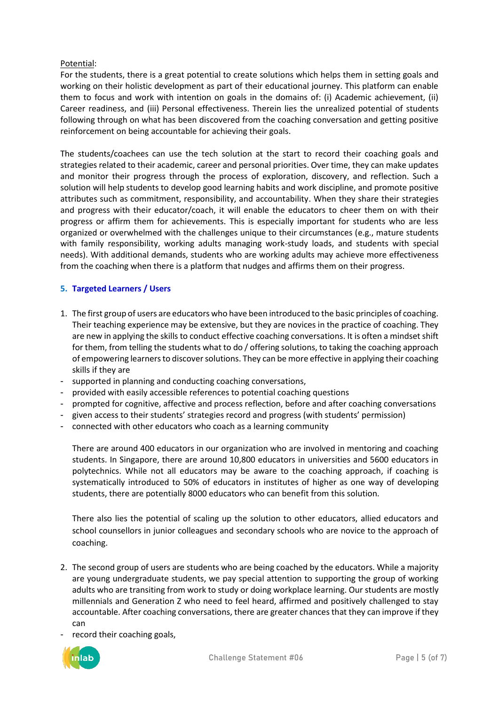# Potential:

For the students, there is a great potential to create solutions which helps them in setting goals and working on their holistic development as part of their educational journey. This platform can enable them to focus and work with intention on goals in the domains of: (i) Academic achievement, (ii) Career readiness, and (iii) Personal effectiveness. Therein lies the unrealized potential of students following through on what has been discovered from the coaching conversation and getting positive reinforcement on being accountable for achieving their goals.

The students/coachees can use the tech solution at the start to record their coaching goals and strategies related to their academic, career and personal priorities. Over time, they can make updates and monitor their progress through the process of exploration, discovery, and reflection. Such a solution will help students to develop good learning habits and work discipline, and promote positive attributes such as commitment, responsibility, and accountability. When they share their strategies and progress with their educator/coach, it will enable the educators to cheer them on with their progress or affirm them for achievements. This is especially important for students who are less organized or overwhelmed with the challenges unique to their circumstances (e.g., mature students with family responsibility, working adults managing work-study loads, and students with special needs). With additional demands, students who are working adults may achieve more effectiveness from the coaching when there is a platform that nudges and affirms them on their progress.

# **5. Targeted Learners / Users**

- 1. The first group of users are educators who have been introduced to the basic principles of coaching. Their teaching experience may be extensive, but they are novices in the practice of coaching. They are new in applying the skills to conduct effective coaching conversations. It is often a mindset shift for them, from telling the students what to do / offering solutions, to taking the coaching approach of empowering learners to discover solutions. They can be more effective in applying their coaching skills if they are
- supported in planning and conducting coaching conversations,
- provided with easily accessible references to potential coaching questions
- prompted for cognitive, affective and process reflection, before and after coaching conversations
- given access to their students' strategies record and progress (with students' permission)
- connected with other educators who coach as a learning community

There are around 400 educators in our organization who are involved in mentoring and coaching students. In Singapore, there are around 10,800 educators in universities and 5600 educators in polytechnics. While not all educators may be aware to the coaching approach, if coaching is systematically introduced to 50% of educators in institutes of higher as one way of developing students, there are potentially 8000 educators who can benefit from this solution.

There also lies the potential of scaling up the solution to other educators, allied educators and school counsellors in junior colleagues and secondary schools who are novice to the approach of coaching.

- 2. The second group of users are students who are being coached by the educators. While a majority are young undergraduate students, we pay special attention to supporting the group of working adults who are transiting from work to study or doing workplace learning. Our students are mostly millennials and Generation Z who need to feel heard, affirmed and positively challenged to stay accountable. After coaching conversations, there are greater chances that they can improve if they can
- record their coaching goals,

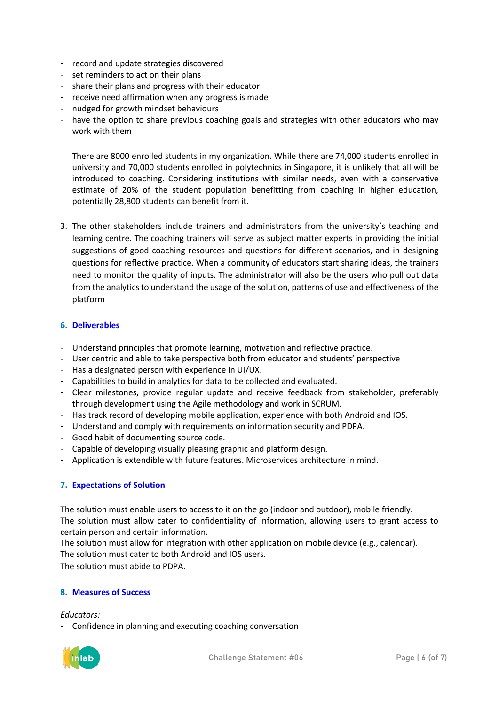- record and update strategies discovered
- set reminders to act on their plans
- share their plans and progress with their educator
- receive need affirmation when any progress is made
- nudged for growth mindset behaviours
- have the option to share previous coaching goals and strategies with other educators who may work with them

There are 8000 enrolled students in my organization. While there are 74,000 students enrolled in university and 70,000 students enrolled in polytechnics in Singapore, it is unlikely that all will be introduced to coaching. Considering institutions with similar needs, even with a conservative estimate of 20% of the student population benefitting from coaching in higher education, potentially 28,800 students can benefit from it.

3. The other stakeholders include trainers and administrators from the university's teaching and learning centre. The coaching trainers will serve as subject matter experts in providing the initial suggestions of good coaching resources and questions for different scenarios, and in designing questions for reflective practice. When a community of educators start sharing ideas, the trainers need to monitor the quality of inputs. The administrator will also be the users who pull out data from the analytics to understand the usage of the solution, patterns of use and effectiveness of the platform

# **6. Deliverables**

- Understand principles that promote learning, motivation and reflective practice.
- User centric and able to take perspective both from educator and students' perspective
- Has a designated person with experience in UI/UX.
- Capabilities to build in analytics for data to be collected and evaluated.
- Clear milestones, provide regular update and receive feedback from stakeholder, preferably through development using the Agile methodology and work in SCRUM.
- Has track record of developing mobile application, experience with both Android and IOS.
- Understand and comply with requirements on information security and PDPA.
- Good habit of documenting source code.
- Capable of developing visually pleasing graphic and platform design.
- Application is extendible with future features. Microservices architecture in mind.

## **7. Expectations of Solution**

The solution must enable users to access to it on the go (indoor and outdoor), mobile friendly. The solution must allow cater to confidentiality of information, allowing users to grant access to certain person and certain information.

The solution must allow for integration with other application on mobile device (e.g., calendar). The solution must cater to both Android and IOS users.

The solution must abide to PDPA.

## **8. Measures of Success**

## *Educators:*

- Confidence in planning and executing coaching conversation